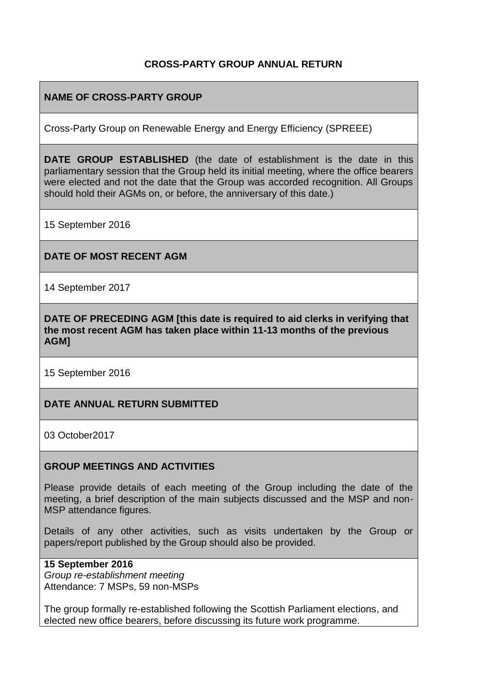# **CROSS-PARTY GROUP ANNUAL RETURN**

# **NAME OF CROSS-PARTY GROUP**

Cross-Party Group on Renewable Energy and Energy Efficiency (SPREEE)

**DATE GROUP ESTABLISHED** (the date of establishment is the date in this parliamentary session that the Group held its initial meeting, where the office bearers were elected and not the date that the Group was accorded recognition. All Groups should hold their AGMs on, or before, the anniversary of this date.)

15 September 2016

## **DATE OF MOST RECENT AGM**

14 September 2017

**DATE OF PRECEDING AGM [this date is required to aid clerks in verifying that the most recent AGM has taken place within 11-13 months of the previous AGM]**

15 September 2016

## **DATE ANNUAL RETURN SUBMITTED**

03 October2017

## **GROUP MEETINGS AND ACTIVITIES**

Please provide details of each meeting of the Group including the date of the meeting, a brief description of the main subjects discussed and the MSP and non-MSP attendance figures.

Details of any other activities, such as visits undertaken by the Group or papers/report published by the Group should also be provided.

## **15 September 2016**

*Group re-establishment meeting* Attendance: 7 MSPs, 59 non-MSPs

The group formally re-established following the Scottish Parliament elections, and elected new office bearers, before discussing its future work programme.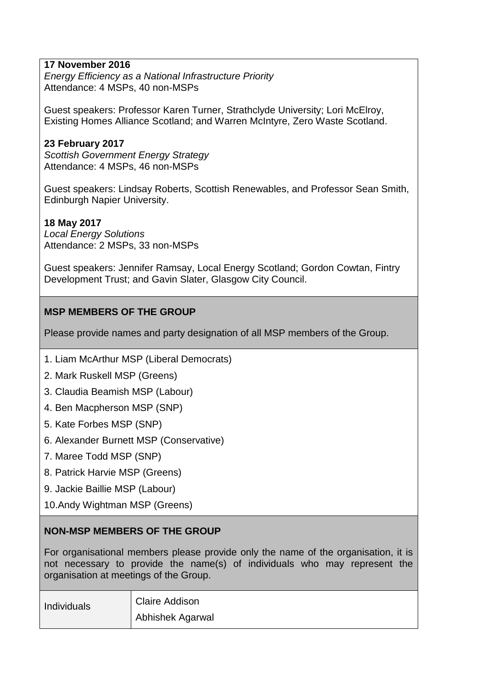# **17 November 2016**

*Energy Efficiency as a National Infrastructure Priority* Attendance: 4 MSPs, 40 non-MSPs

Guest speakers: Professor Karen Turner, Strathclyde University; Lori McElroy, Existing Homes Alliance Scotland; and Warren McIntyre, Zero Waste Scotland.

## **23 February 2017**

*Scottish Government Energy Strategy* Attendance: 4 MSPs, 46 non-MSPs

Guest speakers: Lindsay Roberts, Scottish Renewables, and Professor Sean Smith, Edinburgh Napier University.

## **18 May 2017**

*Local Energy Solutions* Attendance: 2 MSPs, 33 non-MSPs

Guest speakers: Jennifer Ramsay, Local Energy Scotland; Gordon Cowtan, Fintry Development Trust; and Gavin Slater, Glasgow City Council.

## **MSP MEMBERS OF THE GROUP**

Please provide names and party designation of all MSP members of the Group.

- 1. Liam McArthur MSP (Liberal Democrats)
- 2. Mark Ruskell MSP (Greens)
- 3. Claudia Beamish MSP (Labour)
- 4. Ben Macpherson MSP (SNP)
- 5. Kate Forbes MSP (SNP)
- 6. Alexander Burnett MSP (Conservative)
- 7. Maree Todd MSP (SNP)
- 8. Patrick Harvie MSP (Greens)
- 9. Jackie Baillie MSP (Labour)
- 10.Andy Wightman MSP (Greens)

#### **NON-MSP MEMBERS OF THE GROUP**

For organisational members please provide only the name of the organisation, it is not necessary to provide the name(s) of individuals who may represent the organisation at meetings of the Group.

| Individuals | Claire Addison   |
|-------------|------------------|
|             | Abhishek Agarwal |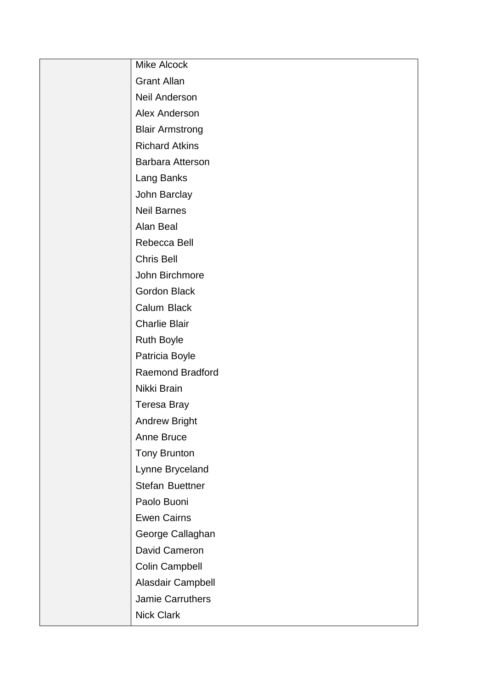| <b>Mike Alcock</b>      |
|-------------------------|
| <b>Grant Allan</b>      |
| <b>Neil Anderson</b>    |
| Alex Anderson           |
| <b>Blair Armstrong</b>  |
| <b>Richard Atkins</b>   |
| Barbara Atterson        |
| Lang Banks              |
| John Barclay            |
| <b>Neil Barnes</b>      |
| Alan Beal               |
| Rebecca Bell            |
| <b>Chris Bell</b>       |
| John Birchmore          |
| <b>Gordon Black</b>     |
| Calum Black             |
| <b>Charlie Blair</b>    |
| <b>Ruth Boyle</b>       |
| Patricia Boyle          |
| <b>Raemond Bradford</b> |
| Nikki Brain             |
| Teresa Bray             |
| Andrew Bright           |
| Anne Bruce              |
| <b>Tony Brunton</b>     |
| Lynne Bryceland         |
| Stefan Buettner         |
| Paolo Buoni             |
| <b>Ewen Cairns</b>      |
| George Callaghan        |
| David Cameron           |
| Colin Campbell          |
| Alasdair Campbell       |
| Jamie Carruthers        |
| <b>Nick Clark</b>       |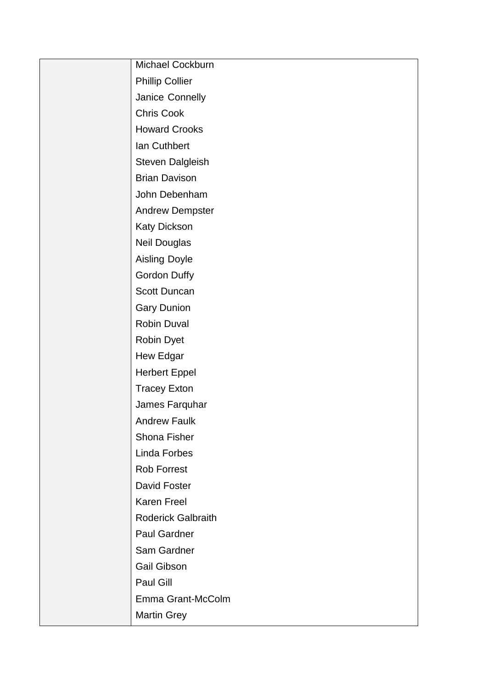| Michael Cockburn          |
|---------------------------|
| <b>Phillip Collier</b>    |
| Janice Connelly           |
| <b>Chris Cook</b>         |
| <b>Howard Crooks</b>      |
| Ian Cuthbert              |
| Steven Dalgleish          |
| <b>Brian Davison</b>      |
| John Debenham             |
| <b>Andrew Dempster</b>    |
| Katy Dickson              |
| Neil Douglas              |
| <b>Aisling Doyle</b>      |
| Gordon Duffy              |
| Scott Duncan              |
| <b>Gary Dunion</b>        |
| Robin Duval               |
| Robin Dyet                |
| Hew Edgar                 |
| <b>Herbert Eppel</b>      |
| <b>Tracey Exton</b>       |
| James Farquhar            |
| <b>Andrew Faulk</b>       |
| Shona Fisher              |
| Linda Forbes              |
| <b>Rob Forrest</b>        |
| <b>David Foster</b>       |
| <b>Karen Freel</b>        |
| <b>Roderick Galbraith</b> |
| <b>Paul Gardner</b>       |
| Sam Gardner               |
| <b>Gail Gibson</b>        |
| Paul Gill                 |
| Emma Grant-McColm         |
| <b>Martin Grey</b>        |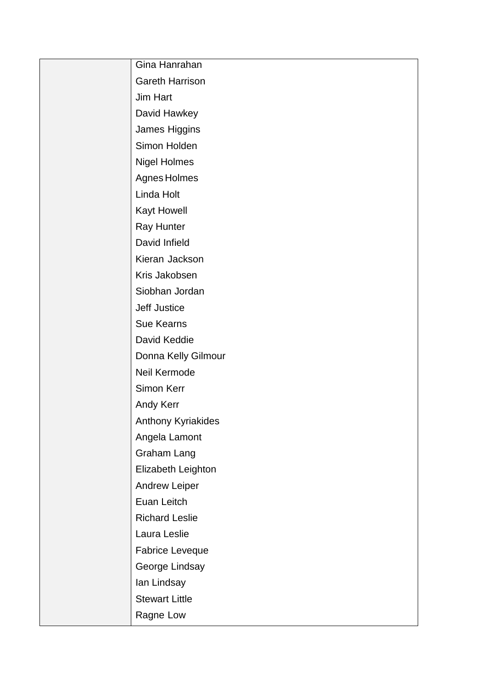| Gina Hanrahan          |
|------------------------|
| <b>Gareth Harrison</b> |
| Jim Hart               |
| David Hawkey           |
| James Higgins          |
| Simon Holden           |
| <b>Nigel Holmes</b>    |
| Agnes Holmes           |
| Linda Holt             |
| <b>Kayt Howell</b>     |
| Ray Hunter             |
| David Infield          |
| Kieran Jackson         |
| Kris Jakobsen          |
| Siobhan Jordan         |
| <b>Jeff Justice</b>    |
| <b>Sue Kearns</b>      |
| David Keddie           |
| Donna Kelly Gilmour    |
| Neil Kermode           |
| Simon Kerr             |
| Andy Kerr              |
| Anthony Kyriakides     |
| Angela Lamont          |
| Graham Lang            |
| Elizabeth Leighton     |
| <b>Andrew Leiper</b>   |
| Euan Leitch            |
| <b>Richard Leslie</b>  |
| Laura Leslie           |
| Fabrice Leveque        |
| George Lindsay         |
| lan Lindsay            |
| <b>Stewart Little</b>  |
| Ragne Low              |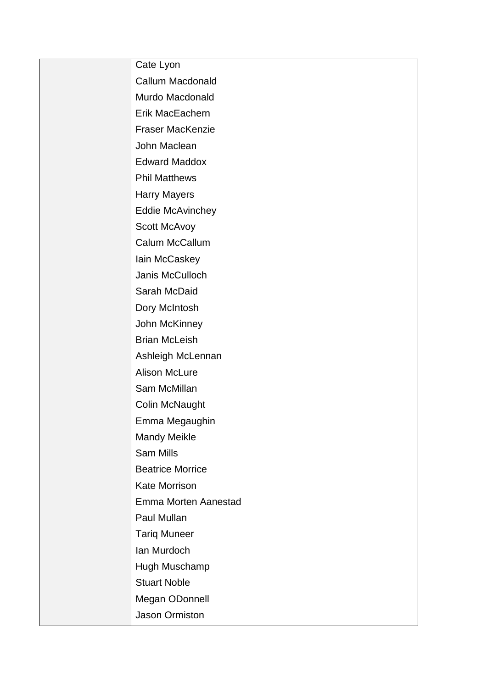| Cate Lyon               |
|-------------------------|
| <b>Callum Macdonald</b> |
| Murdo Macdonald         |
| Erik MacEachern         |
| <b>Fraser MacKenzie</b> |
| John Maclean            |
| <b>Edward Maddox</b>    |
| <b>Phil Matthews</b>    |
| <b>Harry Mayers</b>     |
| <b>Eddie McAvinchey</b> |
| Scott McAvoy            |
| Calum McCallum          |
| lain McCaskey           |
| Janis McCulloch         |
| Sarah McDaid            |
| Dory McIntosh           |
| John McKinney           |
| <b>Brian McLeish</b>    |
| Ashleigh McLennan       |
| <b>Alison McLure</b>    |
| Sam McMillan            |
| Colin McNaught          |
| Emma Megaughin          |
| <b>Mandy Meikle</b>     |
| <b>Sam Mills</b>        |
| <b>Beatrice Morrice</b> |
| Kate Morrison           |
| Emma Morten Aanestad    |
| Paul Mullan             |
| <b>Tariq Muneer</b>     |
| Ian Murdoch             |
| Hugh Muschamp           |
| <b>Stuart Noble</b>     |
| Megan ODonnell          |
| Jason Ormiston          |
|                         |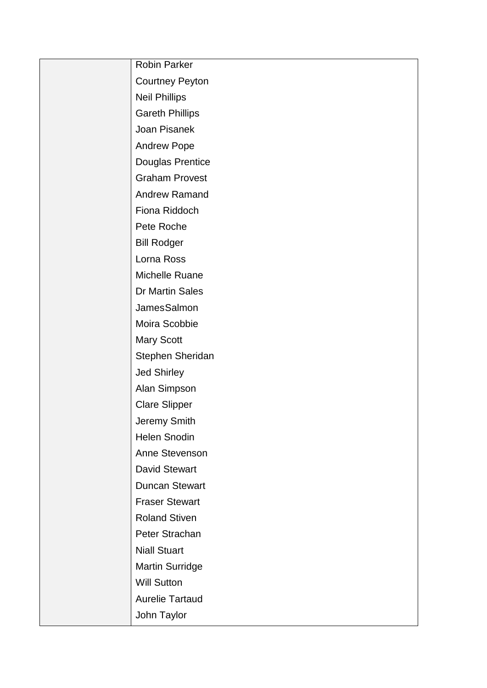| <b>Robin Parker</b>    |
|------------------------|
| <b>Courtney Peyton</b> |
| <b>Neil Phillips</b>   |
| <b>Gareth Phillips</b> |
| Joan Pisanek           |
| <b>Andrew Pope</b>     |
| Douglas Prentice       |
| <b>Graham Provest</b>  |
| <b>Andrew Ramand</b>   |
| Fiona Riddoch          |
| Pete Roche             |
| <b>Bill Rodger</b>     |
| Lorna Ross             |
| Michelle Ruane         |
| Dr Martin Sales        |
| JamesSalmon            |
| Moira Scobbie          |
| <b>Mary Scott</b>      |
| Stephen Sheridan       |
| <b>Jed Shirley</b>     |
| Alan Simpson           |
| <b>Clare Slipper</b>   |
| Jeremy Smith           |
| <b>Helen Snodin</b>    |
| Anne Stevenson         |
| <b>David Stewart</b>   |
| <b>Duncan Stewart</b>  |
| <b>Fraser Stewart</b>  |
| <b>Roland Stiven</b>   |
| Peter Strachan         |
| <b>Niall Stuart</b>    |
| <b>Martin Surridge</b> |
| <b>Will Sutton</b>     |
| <b>Aurelie Tartaud</b> |
| John Taylor            |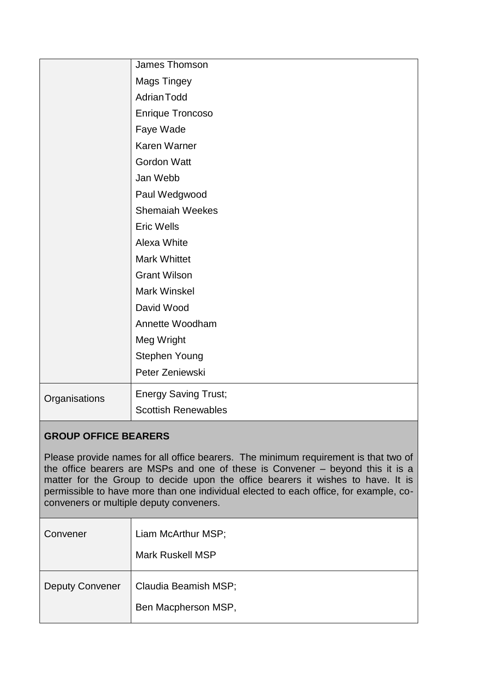|               | James Thomson               |
|---------------|-----------------------------|
|               | <b>Mags Tingey</b>          |
|               | <b>Adrian Todd</b>          |
|               | <b>Enrique Troncoso</b>     |
|               | Faye Wade                   |
|               | Karen Warner                |
|               | <b>Gordon Watt</b>          |
|               | Jan Webb                    |
|               | Paul Wedgwood               |
|               | <b>Shemaiah Weekes</b>      |
|               | <b>Eric Wells</b>           |
|               | Alexa White                 |
|               | <b>Mark Whittet</b>         |
|               | <b>Grant Wilson</b>         |
|               | <b>Mark Winskel</b>         |
|               | David Wood                  |
|               | Annette Woodham             |
|               | Meg Wright                  |
|               | Stephen Young               |
|               | Peter Zeniewski             |
| Organisations | <b>Energy Saving Trust;</b> |
|               | <b>Scottish Renewables</b>  |

# **GROUP OFFICE BEARERS**

Please provide names for all office bearers. The minimum requirement is that two of the office bearers are MSPs and one of these is Convener – beyond this it is a matter for the Group to decide upon the office bearers it wishes to have. It is permissible to have more than one individual elected to each office, for example, coconveners or multiple deputy conveners.

| Convener               | Liam McArthur MSP;<br><b>Mark Ruskell MSP</b> |
|------------------------|-----------------------------------------------|
| <b>Deputy Convener</b> | Claudia Beamish MSP;<br>Ben Macpherson MSP,   |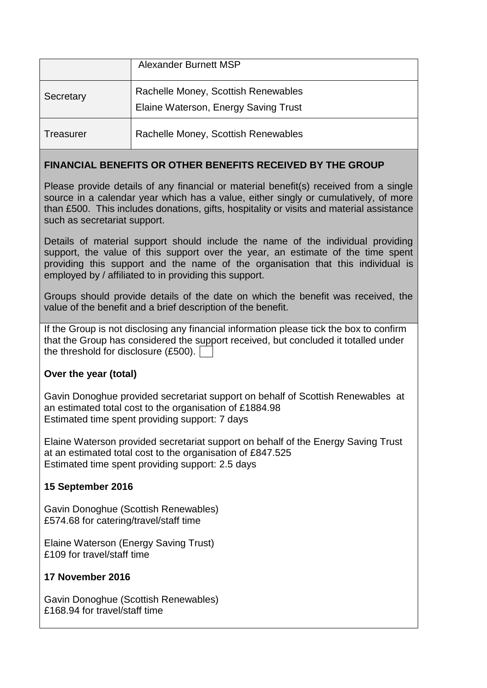|                  | <b>Alexander Burnett MSP</b>                                                |
|------------------|-----------------------------------------------------------------------------|
| Secretary        | Rachelle Money, Scottish Renewables<br>Elaine Waterson, Energy Saving Trust |
| <b>Treasurer</b> | Rachelle Money, Scottish Renewables                                         |

## **FINANCIAL BENEFITS OR OTHER BENEFITS RECEIVED BY THE GROUP**

Please provide details of any financial or material benefit(s) received from a single source in a calendar year which has a value, either singly or cumulatively, of more than £500. This includes donations, gifts, hospitality or visits and material assistance such as secretariat support.

Details of material support should include the name of the individual providing support, the value of this support over the year, an estimate of the time spent providing this support and the name of the organisation that this individual is employed by / affiliated to in providing this support.

Groups should provide details of the date on which the benefit was received, the value of the benefit and a brief description of the benefit.

If the Group is not disclosing any financial information please tick the box to confirm that the Group has considered the support received, but concluded it totalled under the threshold for disclosure (£500).

# **Over the year (total)**

Gavin Donoghue provided secretariat support on behalf of Scottish Renewables at an estimated total cost to the organisation of £1884.98 Estimated time spent providing support: 7 days

Elaine Waterson provided secretariat support on behalf of the Energy Saving Trust at an estimated total cost to the organisation of £847.525 Estimated time spent providing support: 2.5 days

# **15 September 2016**

Gavin Donoghue (Scottish Renewables) £574.68 for catering/travel/staff time

Elaine Waterson (Energy Saving Trust) £109 for travel/staff time

## **17 November 2016**

Gavin Donoghue (Scottish Renewables) £168.94 for travel/staff time